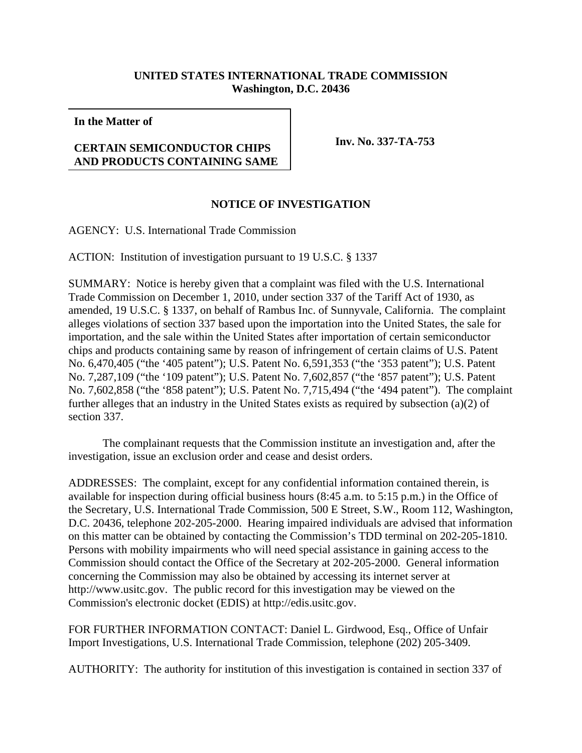## **UNITED STATES INTERNATIONAL TRADE COMMISSION Washington, D.C. 20436**

**In the Matter of**

## **CERTAIN SEMICONDUCTOR CHIPS AND PRODUCTS CONTAINING SAME**

**Inv. No. 337-TA-753**

## **NOTICE OF INVESTIGATION**

AGENCY: U.S. International Trade Commission

ACTION: Institution of investigation pursuant to 19 U.S.C. § 1337

SUMMARY: Notice is hereby given that a complaint was filed with the U.S. International Trade Commission on December 1, 2010, under section 337 of the Tariff Act of 1930, as amended, 19 U.S.C. § 1337, on behalf of Rambus Inc. of Sunnyvale, California. The complaint alleges violations of section 337 based upon the importation into the United States, the sale for importation, and the sale within the United States after importation of certain semiconductor chips and products containing same by reason of infringement of certain claims of U.S. Patent No. 6,470,405 ("the '405 patent"); U.S. Patent No. 6,591,353 ("the '353 patent"); U.S. Patent No. 7,287,109 ("the '109 patent"); U.S. Patent No. 7,602,857 ("the '857 patent"); U.S. Patent No. 7,602,858 ("the '858 patent"); U.S. Patent No. 7,715,494 ("the '494 patent"). The complaint further alleges that an industry in the United States exists as required by subsection (a)(2) of section 337.

The complainant requests that the Commission institute an investigation and, after the investigation, issue an exclusion order and cease and desist orders.

ADDRESSES: The complaint, except for any confidential information contained therein, is available for inspection during official business hours (8:45 a.m. to 5:15 p.m.) in the Office of the Secretary, U.S. International Trade Commission, 500 E Street, S.W., Room 112, Washington, D.C. 20436, telephone 202-205-2000. Hearing impaired individuals are advised that information on this matter can be obtained by contacting the Commission's TDD terminal on 202-205-1810. Persons with mobility impairments who will need special assistance in gaining access to the Commission should contact the Office of the Secretary at 202-205-2000. General information concerning the Commission may also be obtained by accessing its internet server at http://www.usitc.gov. The public record for this investigation may be viewed on the Commission's electronic docket (EDIS) at http://edis.usitc.gov.

FOR FURTHER INFORMATION CONTACT: Daniel L. Girdwood, Esq., Office of Unfair Import Investigations, U.S. International Trade Commission, telephone (202) 205-3409.

AUTHORITY: The authority for institution of this investigation is contained in section 337 of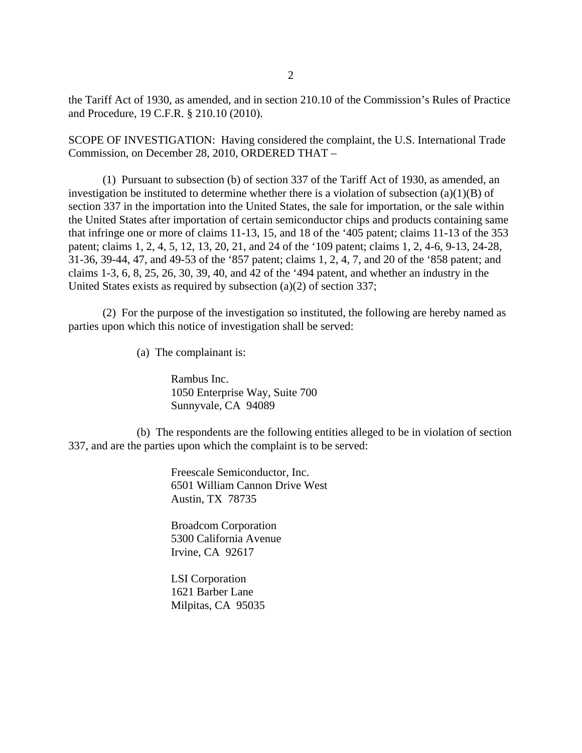the Tariff Act of 1930, as amended, and in section 210.10 of the Commission's Rules of Practice and Procedure, 19 C.F.R. § 210.10 (2010).

SCOPE OF INVESTIGATION: Having considered the complaint, the U.S. International Trade Commission, on December 28, 2010, ORDERED THAT –

(1) Pursuant to subsection (b) of section 337 of the Tariff Act of 1930, as amended, an investigation be instituted to determine whether there is a violation of subsection  $(a)(1)(B)$  of section 337 in the importation into the United States, the sale for importation, or the sale within the United States after importation of certain semiconductor chips and products containing same that infringe one or more of claims 11-13, 15, and 18 of the '405 patent; claims 11-13 of the 353 patent; claims 1, 2, 4, 5, 12, 13, 20, 21, and 24 of the '109 patent; claims 1, 2, 4-6, 9-13, 24-28, 31-36, 39-44, 47, and 49-53 of the '857 patent; claims 1, 2, 4, 7, and 20 of the '858 patent; and claims 1-3, 6, 8, 25, 26, 30, 39, 40, and 42 of the '494 patent, and whether an industry in the United States exists as required by subsection (a)(2) of section 337;

(2) For the purpose of the investigation so instituted, the following are hereby named as parties upon which this notice of investigation shall be served:

(a) The complainant is:

Rambus Inc. 1050 Enterprise Way, Suite 700 Sunnyvale, CA 94089

(b) The respondents are the following entities alleged to be in violation of section 337, and are the parties upon which the complaint is to be served:

> Freescale Semiconductor, Inc. 6501 William Cannon Drive West Austin, TX 78735

Broadcom Corporation 5300 California Avenue Irvine, CA 92617

LSI Corporation 1621 Barber Lane Milpitas, CA 95035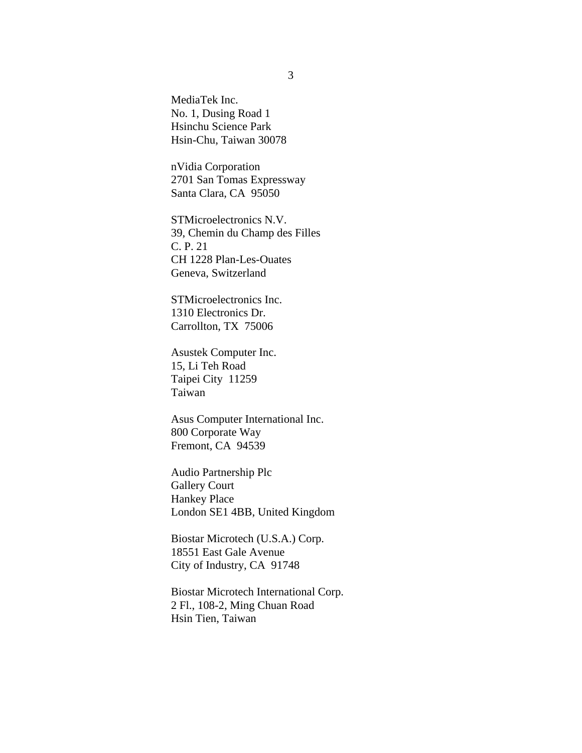MediaTek Inc. No. 1, Dusing Road 1 Hsinchu Science Park Hsin-Chu, Taiwan 30078

nVidia Corporation 2701 San Tomas Expressway Santa Clara, CA 95050

STMicroelectronics N.V. 39, Chemin du Champ des Filles C. P. 21 CH 1228 Plan-Les-Ouates Geneva, Switzerland

STMicroelectronics Inc. 1310 Electronics Dr. Carrollton, TX 75006

Asustek Computer Inc. 15, Li Teh Road Taipei City 11259 Taiwan

Asus Computer International Inc. 800 Corporate Way Fremont, CA 94539

Audio Partnership Plc Gallery Court Hankey Place London SE1 4BB, United Kingdom

Biostar Microtech (U.S.A.) Corp. 18551 East Gale Avenue City of Industry, CA 91748

Biostar Microtech International Corp. 2 Fl., 108-2, Ming Chuan Road Hsin Tien, Taiwan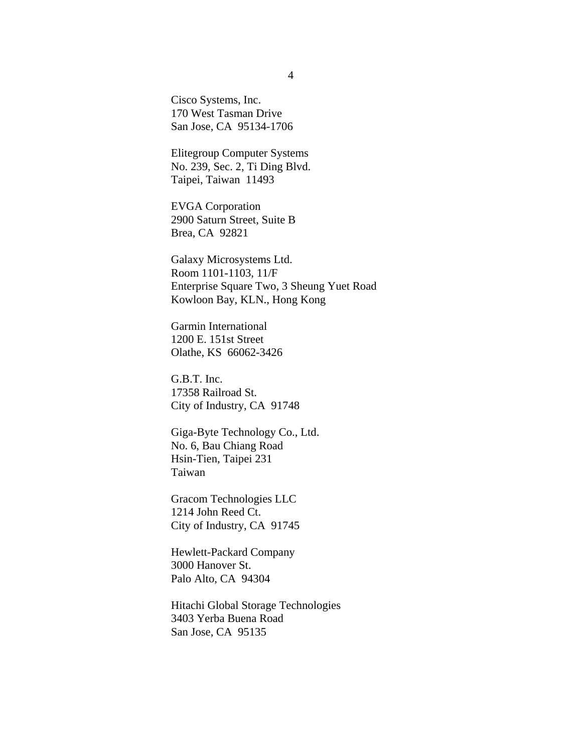Cisco Systems, Inc. 170 West Tasman Drive San Jose, CA 95134-1706

Elitegroup Computer Systems No. 239, Sec. 2, Ti Ding Blvd. Taipei, Taiwan 11493

EVGA Corporation 2900 Saturn Street, Suite B Brea, CA 92821

Galaxy Microsystems Ltd. Room 1101-1103, 11/F Enterprise Square Two, 3 Sheung Yuet Road Kowloon Bay, KLN., Hong Kong

Garmin International 1200 E. 151st Street Olathe, KS 66062-3426

G.B.T. Inc. 17358 Railroad St. City of Industry, CA 91748

Giga-Byte Technology Co., Ltd. No. 6, Bau Chiang Road Hsin-Tien, Taipei 231 Taiwan

Gracom Technologies LLC 1214 John Reed Ct. City of Industry, CA 91745

Hewlett-Packard Company 3000 Hanover St. Palo Alto, CA 94304

Hitachi Global Storage Technologies 3403 Yerba Buena Road San Jose, CA 95135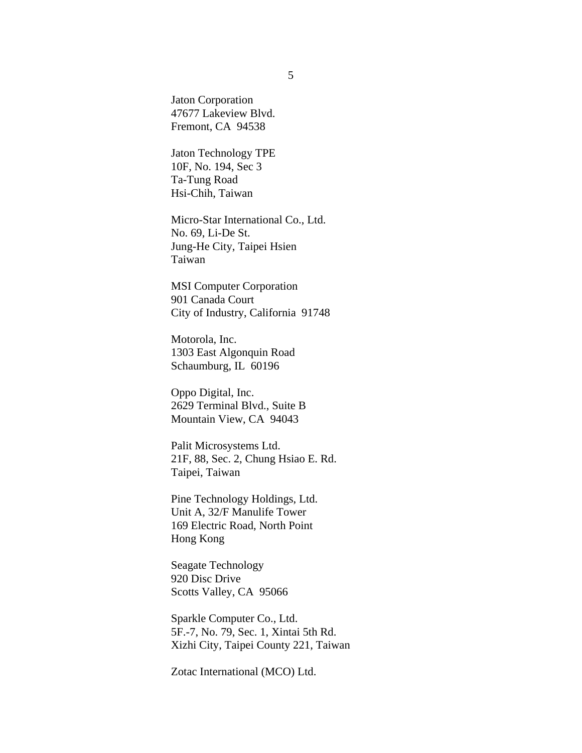Jaton Corporation 47677 Lakeview Blvd. Fremont, CA 94538

Jaton Technology TPE 10F, No. 194, Sec 3 Ta-Tung Road Hsi-Chih, Taiwan

Micro-Star International Co., Ltd. No. 69, Li-De St. Jung-He City, Taipei Hsien Taiwan

MSI Computer Corporation 901 Canada Court City of Industry, California 91748

Motorola, Inc. 1303 East Algonquin Road Schaumburg, IL 60196

Oppo Digital, Inc. 2629 Terminal Blvd., Suite B Mountain View, CA 94043

Palit Microsystems Ltd. 21F, 88, Sec. 2, Chung Hsiao E. Rd. Taipei, Taiwan

Pine Technology Holdings, Ltd. Unit A, 32/F Manulife Tower 169 Electric Road, North Point Hong Kong

Seagate Technology 920 Disc Drive Scotts Valley, CA 95066

Sparkle Computer Co., Ltd. 5F.-7, No. 79, Sec. 1, Xintai 5th Rd. Xizhi City, Taipei County 221, Taiwan

Zotac International (MCO) Ltd.